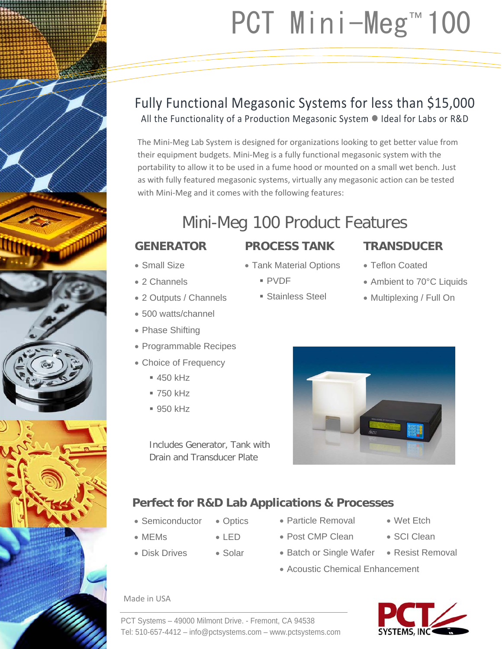# PCT Mini-Meg™ 100

## Fully Functional Megasonic Systems for less than \$15,000 All the Functionality of a Production Megasonic System  $\bullet$  Ideal for Labs or R&D

The Mini‐Meg Lab System is designed for organizations looking to get better value from their equipment budgets. Mini‐Meg is a fully functional megasonic system with the portability to allow it to be used in a fume hood or mounted on a small wet bench. Just as with fully featured megasonic systems, virtually any megasonic action can be tested with Mini-Meg and it comes with the following features:

# Mini-Meg 100 Product Features

### **GENERATOR**

- Small Size
- 2 Channels
- 2 Outputs / Channels
- 500 watts/channel
- Phase Shifting
- Programmable Recipes
- Choice of Frequency
	- 450 kHz
	- 750 kHz
	- **950 kHz**

Includes Generator, Tank with Drain and Transducer Plate

## **Perfect for R&D Lab Applications & Processes**

- Semiconductor
- MEMs
- Disk Drives
- 
- Solar
	- Acoustic Chemical Enhancement

 Particle Removal Post CMP Clean

#### Made in USA



- SCI Clean
- 
- 
- Batch or Single Wafer Resist Removal
- 





- **PROCESS TANK**
- Tank Material Options
	- PVDF
	- Stainless Steel
- **TRANSDUCER**
- Teflon Coated
- Ambient to 70°C Liquids
- Multiplexing / Full On



- 
- 

• Optics